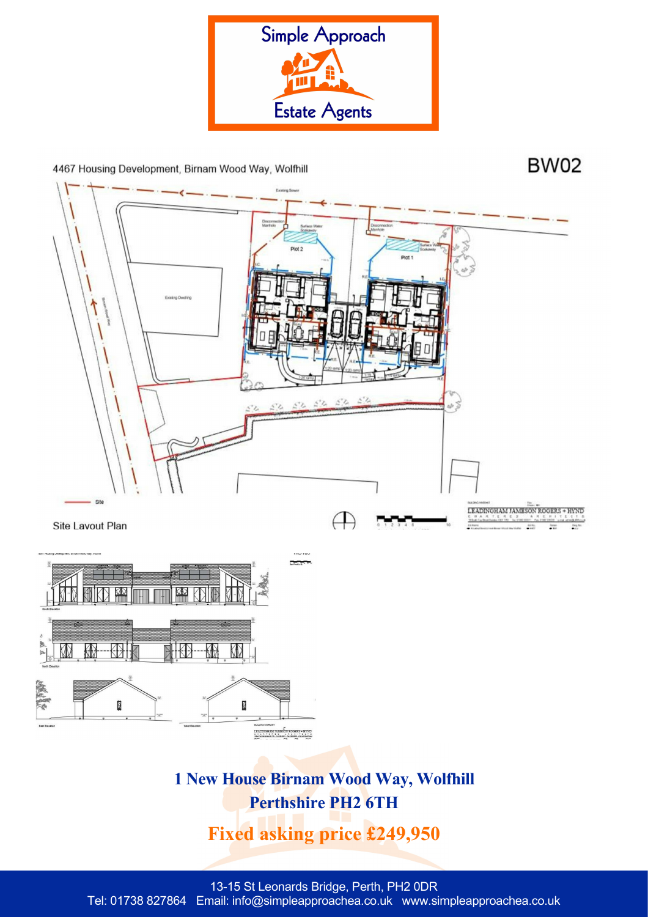

4467 Housing Development, Birnam Wood Way, Wolfhill

**BW02** 



**Fixed asking price £249,950**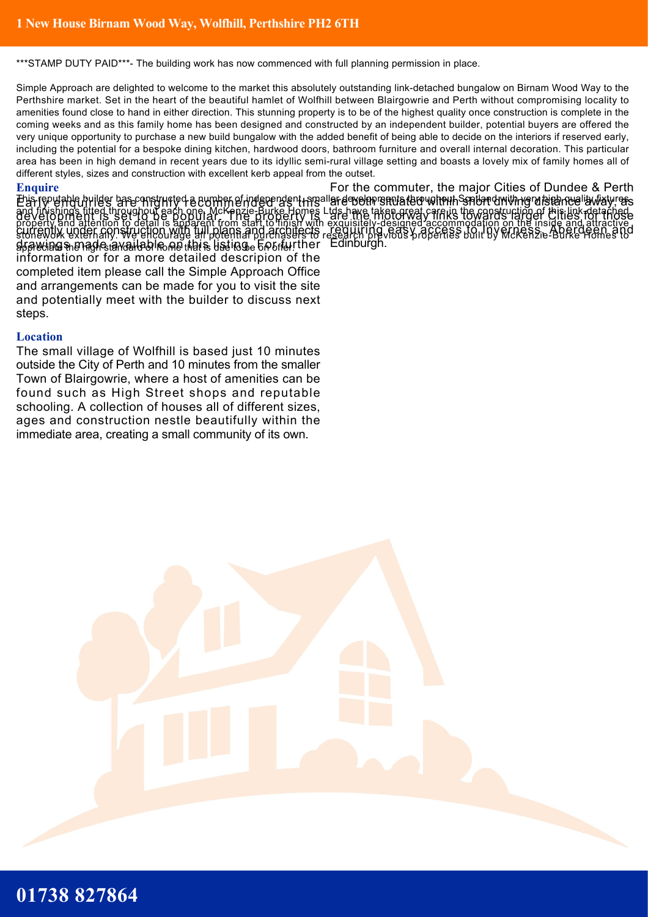\*\*\*STAMP DUTY PAID\*\*\*- The building work has now commenced with full planning permission in place.

Simple Approach are delighted to welcome to the market this absolutely outstanding link-detached bungalow on Birnam Wood Way to the Perthshire market. Set in the heart of the beautiful hamlet of Wolfhill between Blairgowrie and Perth without compromising locality to amenities found close to hand in either direction. This stunning property is to be of the highest quality once construction is complete in the coming weeks and as this family home has been designed and constructed by an independent builder, potential buyers are offered the very unique opportunity to purchase a new build bungalow with the added benefit of being able to decide on the interiors if reserved early, including the potential for a bespoke dining kitchen, hardwood doors, bathroom furniture and overall internal decoration. This particular area has been in high demand in recent years due to its idyllic semi-rural village setting and boasts a lovely mix of family homes all of different styles, sizes and construction with excellent kerb appeal from the outset.

## **Enquire**

En fepulable builder base onstructed a europp of independent regaller development a tero with the spillar dwith regulation and is way. and finishings fitted throughout each one. McKenzie-Burke Homes Ltds have taken great care in the construction of this link-detached property and attention to detail is apparent from start to finish with exquisitely-designed accommodation on the inside and attractive stonework externally. We encourage all potential purchasers to research previous properties built by McKenzie-Burke Homes to appreciate the high standard of home that is due to be on offer. drawings made available on this listing. For further Edinburgh. development is set to be popular. The property is currently under construction with full plans and architects information or for a more detailed descripion of the completed item please call the Simple Approach Office and arrangements can be made for you to visit the site and potentially meet with the builder to discuss next steps.

## **Location**

The small village of Wolfhill is based just 10 minutes outside the City of Perth and 10 minutes from the smaller Town of Blairgowrie, where a host of amenities can be found such as High Street shops and reputable schooling. A collection of houses all of different sizes, ages and construction nestle beautifully within the immediate area, creating a small community of its own.

For the commuter, the major Cities of Dundee & Perth are the motorway links towards larger Cities for those requiring easy access to Inverness, Aberdeen and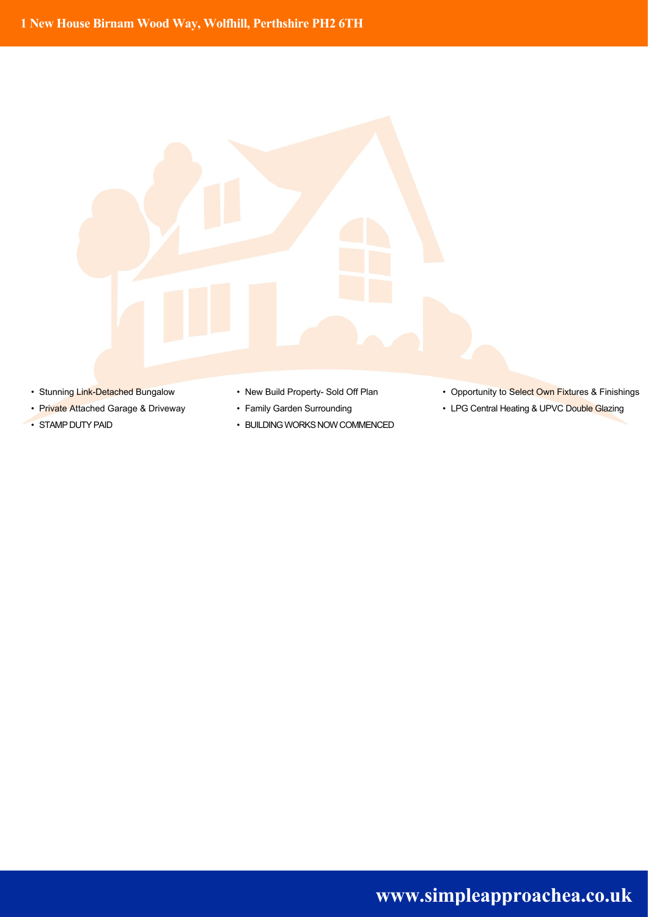

- 
- 
- 
- 
- 
- STAMP DUTY PAID BUILDING WORKS NOW COMMENCED
- Stunning Link-Detached Bungalow New Build Property- Sold Off Plan Opportunity to Select Own Fixtures & Finishings
- Private Attached Garage & Driveway Family Garden Surrounding Private Attached Gazing Glazing LPG Central Heating & UPVC Double Glazing